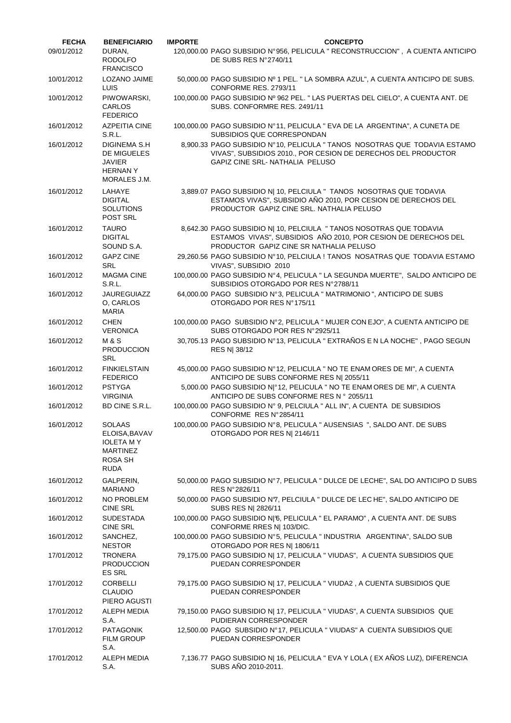| <b>FECHA</b> | <b>BENEFICIARIO</b>                                                                                    | <b>IMPORTE</b> | <b>CONCEPTO</b>                                                                                                                                                                   |
|--------------|--------------------------------------------------------------------------------------------------------|----------------|-----------------------------------------------------------------------------------------------------------------------------------------------------------------------------------|
| 09/01/2012   | DURAN.<br><b>RODOLFO</b><br><b>FRANCISCO</b>                                                           |                | 120,000.00 PAGO SUBSIDIO N°956, PELICULA " RECONSTRUCCION", A CUENTA ANTICIPO<br>DE SUBS RES N°2740/11                                                                            |
| 10/01/2012   | LOZANO JAIME<br>LUIS                                                                                   |                | 50,000.00 PAGO SUBSIDIO Nº 1 PEL. " LA SOMBRA AZUL", A CUENTA ANTICIPO DE SUBS.<br>CONFORME RES. 2793/11                                                                          |
| 10/01/2012   | PIWOWARSKI.<br><b>CARLOS</b><br><b>FEDERICO</b>                                                        |                | 100,000.00 PAGO SUBSIDIO Nº 962 PEL. " LAS PUERTAS DEL CIELO", A CUENTA ANT. DE<br>SUBS. CONFORMRE RES. 2491/11                                                                   |
| 16/01/2012   | <b>AZPEITIA CINE</b><br>S.R.L.                                                                         |                | 100,000.00 PAGO SUBSIDIO N°11, PELICULA " EVA DE LA ARGENTINA", A CUNETA DE<br>SUBSIDIOS QUE CORRESPONDAN                                                                         |
| 16/01/2012   | <b>DIGINEMA S.H</b><br>DE MIGUELES<br><b>JAVIER</b><br><b>HERNANY</b><br>MORALES J.M.                  |                | 8,900.33 PAGO SUBSIDIO N°10, PELICULA " TANOS NOSOTRAS QUE TODAVIA ESTAMO<br>VIVAS", SUBSIDIOS 2010., POR CESION DE DERECHOS DEL PRODUCTOR<br>GAPIZ CINE SRL- NATHALIA PELUSO     |
| 16/01/2012   | LAHAYE<br><b>DIGITAL</b><br><b>SOLUTIONS</b><br>POST SRL                                               |                | 3,889.07 PAGO SUBSIDIO N  10, PELCIULA " TANOS NOSOTRAS QUE TODAVIA<br>ESTAMOS VIVAS", SUBSIDIO AÑO 2010, POR CESION DE DERECHOS DEL<br>PRODUCTOR GAPIZ CINE SRL. NATHALIA PELUSO |
| 16/01/2012   | <b>TAURO</b><br><b>DIGITAL</b><br>SOUND S.A.                                                           |                | 8,642.30 PAGO SUBSIDIO N  10, PELCIULA "TANOS NOSOTRAS QUE TODAVIA<br>ESTAMOS VIVAS", SUBSIDIOS AÑO 2010, POR CESION DE DERECHOS DEL<br>PRODUCTOR GAPIZ CINE SR NATHALIA PELUSO   |
| 16/01/2012   | <b>GAPZ CINE</b><br><b>SRL</b>                                                                         |                | 29,260.56 PAGO SUBSIDIO N°10, PELCIULA ! TANOS NOSATRAS QUE TODAVIA ESTAMO<br>VIVAS", SUBSIDIO 2010                                                                               |
| 16/01/2012   | <b>MAGMA CINE</b><br>S.R.L.                                                                            |                | 100,000.00 PAGO SUBSIDIO Nº4, PELICULA " LA SEGUNDA MUERTE", SALDO ANTICIPO DE<br>SUBSIDIOS OTORGADO POR RES N°2788/11                                                            |
| 16/01/2012   | <b>JAUREGUIAZZ</b><br>O, CARLOS<br><b>MARIA</b>                                                        |                | 64,000.00 PAGO SUBSIDIO Nº3, PELICULA " MATRIMONIO ", ANTICIPO DE SUBS<br>OTORGADO POR RES Nº175/11                                                                               |
| 16/01/2012   | <b>CHEN</b><br><b>VERONICA</b>                                                                         |                | 100,000.00 PAGO SUBSIDIO N°2, PELICULA " MUJER CON EJO", A CUENTA ANTICIPO DE<br>SUBS OTORGADO POR RES N°2925/11                                                                  |
| 16/01/2012   | <b>M&amp;S</b><br><b>PRODUCCION</b><br>SRL                                                             |                | 30,705.13 PAGO SUBSIDIO N°13, PELICULA " EXTRAÑOS E N LA NOCHE", PAGO SEGUN<br>RES N  38/12                                                                                       |
| 16/01/2012   | <b>FINKIELSTAIN</b><br><b>FEDERICO</b>                                                                 |                | 45,000.00 PAGO SUBSIDIO N°12, PELICULA " NO TE ENAM ORES DE MI", A CUENTA<br>ANTICIPO DE SUBS CONFORME RES N  2055/11                                                             |
| 16/01/2012   | <b>PSTYGA</b><br><b>VIRGINIA</b>                                                                       |                | 5,000.00 PAGO SUBSIDIO N º12, PELICULA " NO TE ENAM ORES DE MI", A CUENTA<br>ANTICIPO DE SUBS CONFORME RES Nº 2055/11                                                             |
| 16/01/2012   | BD CINE S.R.L.                                                                                         |                | 100,000.00 PAGO SUBSIDIO Nº 9, PELCIULA " ALL IN", A CUENTA DE SUBSIDIOS<br>CONFORME RES N°2854/11                                                                                |
| 16/01/2012   | <b>SOLAAS</b><br>ELOISA, BAVAV<br><b>IOLETA MY</b><br><b>MARTINEZ</b><br><b>ROSA SH</b><br><b>RUDA</b> |                | 100,000.00 PAGO SUBSIDIO N°8, PELICULA " AUSENSIAS ", SALDO ANT. DE SUBS<br>OTORGADO POR RES N  2146/11                                                                           |
| 16/01/2012   | GALPERIN,<br><b>MARIANO</b>                                                                            |                | 50,000.00 PAGO SUBSIDIO N°7, PELICULA " DULCE DE LECHE", SAL DO ANTICIPO D SUBS<br>RES N°2826/11                                                                                  |
| 16/01/2012   | NO PROBLEM<br><b>CINE SRL</b>                                                                          |                | 50,000.00 PAGO SUBSIDIO N7, PELCIULA " DULCE DE LEC HE", SALDO ANTICIPO DE<br>SUBS RES N  2826/11                                                                                 |
| 16/01/2012   | <b>SUDESTADA</b><br><b>CINE SRL</b>                                                                    |                | 100,000.00 PAGO SUBSIDIO N 6, PELICULA " EL PARAMO", A CUENTA ANT. DE SUBS<br>CONFORME RRES N  103/DIC.                                                                           |
| 16/01/2012   | SANCHEZ,<br><b>NESTOR</b>                                                                              |                | 100,000.00 PAGO SUBSIDIO N°5, PELICULA " INDUSTRIA ARGENTINA", SALDO SUB<br>OTORGADO POR RES N  1806/11                                                                           |
| 17/01/2012   | <b>TRONERA</b><br><b>PRODUCCION</b><br><b>ES SRL</b>                                                   |                | 79,175.00 PAGO SUBSIDIO N  17, PELICULA " VIUDAS", A CUENTA SUBSIDIOS QUE<br>PUEDAN CORRESPONDER                                                                                  |
| 17/01/2012   | <b>CORBELLI</b><br><b>CLAUDIO</b><br>PIERO AGUSTI                                                      |                | 79,175.00 PAGO SUBSIDIO N  17, PELICULA " VIUDA2, A CUENTA SUBSIDIOS QUE<br>PUEDAN CORRESPONDER                                                                                   |
| 17/01/2012   | ALEPH MEDIA<br>S.A.                                                                                    |                | 79,150.00 PAGO SUBSIDIO N  17, PELICULA " VIUDAS", A CUENTA SUBSIDIOS QUE<br>PUDIERAN CORRESPONDER                                                                                |
| 17/01/2012   | <b>PATAGONIK</b><br><b>FILM GROUP</b><br>S.A.                                                          |                | 12,500.00 PAGO SUBSIDIO N°17, PELICULA " VIUDAS" A CUENTA SUBSIDIOS QUE<br>PUEDAN CORRESPONDER                                                                                    |
| 17/01/2012   | ALEPH MEDIA<br>S.A.                                                                                    |                | 7,136.77 PAGO SUBSIDIO N  16, PELICULA " EVA Y LOLA ( EX AÑOS LUZ), DIFERENCIA<br>SUBS AÑO 2010-2011.                                                                             |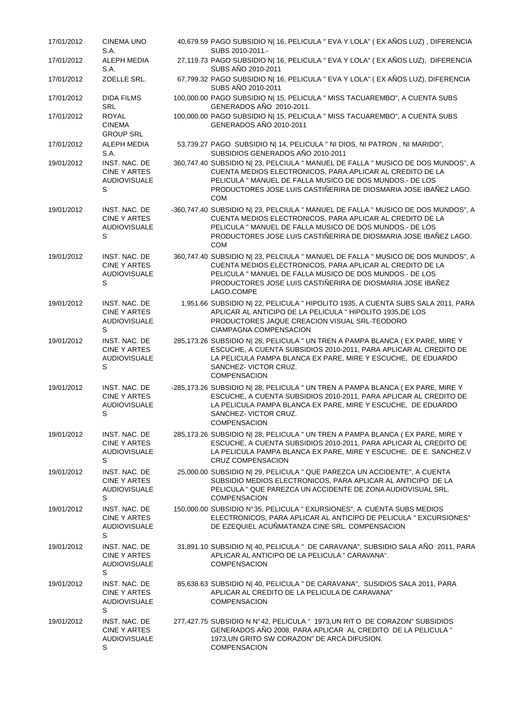| 17/01/2012 | <b>CINEMA UNO</b><br>S.A.                                        | 40,679.59 PAGO SUBSIDIO N  16, PELICULA " EVA Y LOLA" (EX AÑOS LUZ), DIFERENCIA<br>SUBS 2010-2011.-                                                                                                                                                                                          |
|------------|------------------------------------------------------------------|----------------------------------------------------------------------------------------------------------------------------------------------------------------------------------------------------------------------------------------------------------------------------------------------|
| 17/01/2012 | ALEPH MEDIA<br>S.A.                                              | 27,119.73 PAGO SUBSIDIO N  16, PELICULA " EVA Y LOLA" (EX AÑOS LUZ), DIFERENCIA<br>SUBS AÑO 2010-2011                                                                                                                                                                                        |
| 17/01/2012 | ZOELLE SRL.                                                      | 67,799.32 PAGO SUBSIDIO N  16, PELICULA " EVA Y LOLA" (EX AÑOS LUZ), DIFERENCIA<br>SUBS AÑO 2010-2011                                                                                                                                                                                        |
| 17/01/2012 | <b>DIDA FILMS</b><br><b>SRL</b>                                  | 100,000.00 PAGO SUBSIDIO N  15, PELICULA " MISS TACUAREMBO", A CUENTA SUBS<br>GENERADOS AÑO 2010-2011.                                                                                                                                                                                       |
| 17/01/2012 | <b>ROYAL</b><br><b>CINEMA</b><br><b>GROUP SRL</b>                | 100,000.00 PAGO SUBSIDIO N  15, PELICULA " MISS TACUAREMBO", A CUENTA SUBS<br>GENERADOS AÑO 2010-2011                                                                                                                                                                                        |
| 17/01/2012 | ALEPH MEDIA<br>S.A.                                              | 53,739.27 PAGO SUBSIDIO N  14, PELICULA " NI DIOS, NI PATRON, NI MARIDO",<br>SUBSIDIOS GENERADOS AÑO 2010-2011                                                                                                                                                                               |
| 19/01/2012 | INST. NAC. DE<br><b>CINE Y ARTES</b><br><b>AUDIOVISUALE</b><br>S | 360,747.40 SUBSIDIO N  23, PELCIULA " MANUEL DE FALLA " MUSICO DE DOS MUNDOS", A<br>CUENTA MEDIOS ELECTRONICOS, PARA APLICAR AL CREDITO DE LA<br>PELICULA " MANUEL DE FALLA MUSICO DE DOS MUNDOS.- DE LOS<br>PRODUCTORES JOSE LUIS CASTIÑERIRA DE DIOSMARIA JOSE IBAÑEZ LAGO.<br><b>COM</b>  |
| 19/01/2012 | INST. NAC. DE<br><b>CINE Y ARTES</b><br><b>AUDIOVISUALE</b><br>S | -360,747.40 SUBSIDIO N  23, PELCIULA " MANUEL DE FALLA " MUSICO DE DOS MUNDOS", A<br>CUENTA MEDIOS ELECTRONICOS, PARA APLICAR AL CREDITO DE LA<br>PELICULA " MANUEL DE FALLA MUSICO DE DOS MUNDOS.- DE LOS<br>PRODUCTORES JOSE LUIS CASTIÑERIRA DE DIOSMARIA JOSE IBAÑEZ LAGO.<br><b>COM</b> |
| 19/01/2012 | INST. NAC. DE<br><b>CINE Y ARTES</b><br><b>AUDIOVISUALE</b><br>S | 360,747.40 SUBSIDIO N  23, PELCIULA " MANUEL DE FALLA " MUSICO DE DOS MUNDOS", A<br>CUENTA MEDIOS ELECTRONICOS, PARA APLICAR AL CREDITO DE LA<br>PELICULA " MANUEL DE FALLA MUSICO DE DOS MUNDOS.- DE LOS<br>PRODUCTORES JOSE LUIS CASTIÑERIRA DE DIOSMARIA JOSE IBAÑEZ<br>LAGO.COMPE        |
| 19/01/2012 | INST. NAC. DE<br>CINE Y ARTES<br><b>AUDIOVISUALE</b><br>S        | 1,951.66 SUBSIDIO N  22, PELICULA " HIPOLITO 1935, A CUENTA SUBS SALA 2011, PARA<br>APLICAR AL ANTICIPO DE LA PELICULA "HIPOLITO 1935, DE LOS<br>PRODUCTORES JAQUE CREACION VISUAL SRL-TEODORO<br>CIAMPAGNA.COMPENSACION                                                                     |
| 19/01/2012 | INST. NAC. DE<br><b>CINE Y ARTES</b><br><b>AUDIOVISUALE</b><br>S | 285,173.26 SUBSIDIO N  28, PELICULA " UN TREN A PAMPA BLANCA (EX PARE, MIRE Y<br>ESCUCHE, A CUENTA SUBSIDIOS 2010-2011, PARA APLICAR AL CREDITO DE<br>LA PELICULA PAMPA BLANCA EX PARE, MIRE Y ESCUCHE, DE EDUARDO<br>SANCHEZ- VICTOR CRUZ.<br><b>COMPENSACION</b>                           |
| 19/01/2012 | INST. NAC. DE<br><b>CINE Y ARTES</b><br><b>AUDIOVISUALE</b><br>S | -285,173.26 SUBSIDIO N  28, PELICULA " UN TREN A PAMPA BLANCA ( EX PARE, MIRE Y<br>ESCUCHE, A CUENTA SUBSIDIOS 2010-2011, PARA APLICAR AL CREDITO DE<br>LA PELICULA PAMPA BLANCA EX PARE, MIRE Y ESCUCHE, DE EDUARDO<br>SANCHEZ- VICTOR CRUZ.<br>COMPENSACION                                |
| 19/01/2012 | INST. NAC. DE<br>CINE Y ARTES<br><b>AUDIOVISUALE</b><br>S        | 285,173.26 SUBSIDIO N  28, PELICULA " UN TREN A PAMPA BLANCA (EX PARE, MIRE Y<br>ESCUCHE, A CUENTA SUBSIDIOS 2010-2011, PARA APLICAR AL CREDITO DE<br>LA PELICULA PAMPA BLANCA EX PARE, MIRE Y ESCUCHE, DE E. SANCHEZ.V<br><b>CRUZ COMPENSACION</b>                                          |
| 19/01/2012 | INST. NAC. DE<br>CINE Y ARTES<br><b>AUDIOVISUALE</b><br>S        | 25,000.00 SUBSIDIO N  29, PELICULA " QUE PAREZCA UN ACCIDENTE", A CUENTA<br>SUBSIDIO MEDIOS ELECTRONICOS, PARA APLICAR AL ANTICIPO DE LA<br>PELICULA " QUE PAREZCA UN ACCIDENTE DE ZONA AUDIOVISUAL SRL.<br><b>COMPENSACION</b>                                                              |
| 19/01/2012 | INST. NAC. DE<br>CINE Y ARTES<br><b>AUDIOVISUALE</b><br>S        | 150,000.00 SUBSIDIO N°35, PELICULA " EXURSIONES", A CUENTA SUBS MEDIOS<br>ELECTRONICOS, PARA APLICAR AL ANTICIPO DE PELICULA " EXCURSIONES"<br>DE EZEQUIEL ACUÑMATANZA CINE SRL. COMPENSACION                                                                                                |
| 19/01/2012 | INST. NAC. DE<br>CINE Y ARTES<br><b>AUDIOVISUALE</b><br>S        | 31,891.10 SUBSIDIO N  40, PELICULA " DE CARAVANA", SUBSIDIO SALA AÑO 2011, PARA<br>APLICAR AL ANTICIPO DE LA PELICULA " CARAVANA".<br><b>COMPENSACION</b>                                                                                                                                    |
| 19/01/2012 | INST. NAC. DE<br>CINE Y ARTES<br><b>AUDIOVISUALE</b><br>S        | 85,638.63 SUBSIDIO N  40, PELICULA " DE CARAVANA", SUSIDIOS SALA 2011, PARA<br>APLICAR AL CREDITO DE LA PELICULA DE CARAVANA"<br><b>COMPENSACION</b>                                                                                                                                         |
| 19/01/2012 | INST. NAC. DE<br><b>CINE Y ARTES</b><br><b>AUDIOVISUALE</b><br>S | 277,427.75 SUBSIDIO N Nº42, PELICULA " 1973, UN RIT O DE CORAZON" SUBSIDIOS<br>GENERADOS AÑO 2008, PARA APLICAR AL CREDITO DE LA PELICULA "<br>1973, UN GRITO SW CORAZON" DE ARCA DIFUSION.<br>COMPENSACION                                                                                  |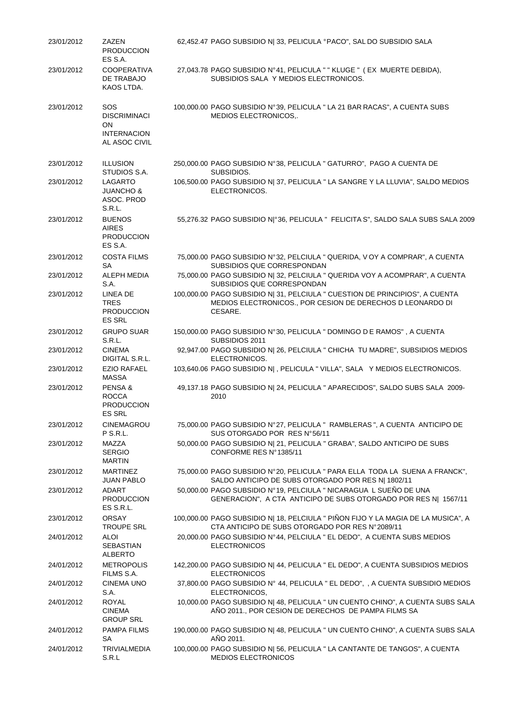| 23/01/2012 | ZAZEN<br><b>PRODUCCION</b><br>ES S.A.                                          | 62,452.47 PAGO SUBSIDIO N  33, PELICULA °PACO", SAL DO SUBSIDIO SALA                                                                                  |
|------------|--------------------------------------------------------------------------------|-------------------------------------------------------------------------------------------------------------------------------------------------------|
| 23/01/2012 | <b>COOPERATIVA</b><br>DE TRABAJO<br>KAOS LTDA.                                 | 27,043.78 PAGO SUBSIDIO N°41, PELICULA " " KLUGE " (EX MUERTE DEBIDA),<br>SUBSIDIOS SALA Y MEDIOS ELECTRONICOS.                                       |
| 23/01/2012 | <b>SOS</b><br><b>DISCRIMINACI</b><br>ON<br><b>INTERNACION</b><br>AL ASOC CIVIL | 100,000.00 PAGO SUBSIDIO N°39, PELICULA " LA 21 BAR RACAS", A CUENTA SUBS<br>MEDIOS ELECTRONICOS,.                                                    |
| 23/01/2012 | <b>ILLUSION</b><br>STUDIOS S.A.                                                | 250,000.00 PAGO SUBSIDIO N°38, PELICULA " GATURRO", PAGO A CUENTA DE<br>SUBSIDIOS.                                                                    |
| 23/01/2012 | <b>LAGARTO</b><br><b>JUANCHO &amp;</b><br>ASOC. PROD<br>S.R.L.                 | 106,500.00 PAGO SUBSIDIO N  37, PELICULA " LA SANGRE Y LA LLUVIA", SALDO MEDIOS<br>ELECTRONICOS.                                                      |
| 23/01/2012 | <b>BUENOS</b><br><b>AIRES</b><br><b>PRODUCCION</b><br>ES S.A.                  | 55,276.32 PAGO SUBSIDIO N °36, PELICULA " FELICITA S", SALDO SALA SUBS SALA 2009                                                                      |
| 23/01/2012 | <b>COSTA FILMS</b><br>SA                                                       | 75,000.00 PAGO SUBSIDIO N°32, PELCIULA " QUERIDA, V OY A COMPRAR", A CUENTA<br>SUBSIDIOS QUE CORRESPONDAN                                             |
| 23/01/2012 | ALEPH MEDIA<br>S.A.                                                            | 75,000.00 PAGO SUBSIDIO N  32, PELCIULA " QUERIDA VOY A ACOMPRAR", A CUENTA<br>SUBSIDIOS QUE CORRESPONDAN                                             |
| 23/01/2012 | LINEA DE<br><b>TRES</b><br><b>PRODUCCION</b><br><b>ES SRL</b>                  | 100,000.00 PAGO SUBSIDIO N  31, PELCIULA " CUESTION DE PRINCIPIOS", A CUENTA<br>MEDIOS ELECTRONICOS., POR CESION DE DERECHOS D LEONARDO DI<br>CESARE. |
| 23/01/2012 | <b>GRUPO SUAR</b><br>S.R.L.                                                    | 150,000.00 PAGO SUBSIDIO N°30, PELICULA " DOMINGO DE RAMOS", A CUENTA<br>SUBSIDIOS 2011                                                               |
| 23/01/2012 | <b>CINEMA</b><br>DIGITAL S.R.L.                                                | 92,947.00 PAGO SUBSIDIO N  26, PELCIULA " CHICHA TU MADRE", SUBSIDIOS MEDIOS<br>ELECTRONICOS.                                                         |
| 23/01/2012 | <b>EZIO RAFAEL</b><br><b>MASSA</b>                                             | 103,640.06 PAGO SUBSIDIO N , PELICULA " VILLA", SALA Y MEDIOS ELECTRONICOS.                                                                           |
| 23/01/2012 | PENSA&<br><b>ROCCA</b><br><b>PRODUCCION</b><br><b>ES SRL</b>                   | 49,137.18 PAGO SUBSIDIO N  24, PELICULA " APARECIDOS", SALDO SUBS SALA 2009-<br>2010                                                                  |
| 23/01/2012 | CINEMAGROU<br>P S.R.L.                                                         | 75,000.00 PAGO SUBSIDIO N°27, PELICULA " RAMBLERAS ", A CUENTA ANTICIPO DE<br>SUS OTORGADO POR RES N°56/11                                            |
| 23/01/2012 | MAZZA<br><b>SERGIO</b><br><b>MARTIN</b>                                        | 50,000.00 PAGO SUBSIDIO N  21, PELICULA " GRABA", SALDO ANTICIPO DE SUBS<br>CONFORME RES N°1385/11                                                    |
| 23/01/2012 | <b>MARTINEZ</b><br>JUAN PABLO                                                  | 75,000.00 PAGO SUBSIDIO N°20, PELICULA " PARA ELLA TODA LA SUENA A FRANCK",<br>SALDO ANTICIPO DE SUBS OTORGADO POR RES N  1802/11                     |
| 23/01/2012 | <b>ADART</b><br><b>PRODUCCION</b><br>ES S.R.L.                                 | 50,000.00 PAGO SUBSIDIO Nº19, PELCIULA " NICARAGUA L SUEÑO DE UNA<br>GENERACION", A CTA ANTICIPO DE SUBS OTORGADO POR RES N  1567/11                  |
| 23/01/2012 | <b>ORSAY</b><br><b>TROUPE SRL</b>                                              | 100,000.00 PAGO SUBSIDIO N  18, PELCIULA " PIÑON FIJO Y LA MAGIA DE LA MUSICA", A<br>CTA ANTICIPO DE SUBS OTORGADO POR RES Nº 2089/11                 |
| 24/01/2012 | <b>ALOI</b><br><b>SEBASTIAN</b><br><b>ALBERTO</b>                              | 20,000.00 PAGO SUBSIDIO N°44, PELCIULA " EL DEDO", A CUENTA SUBS MEDIOS<br><b>ELECTRONICOS</b>                                                        |
| 24/01/2012 | <b>METROPOLIS</b><br>FILMS S.A.                                                | 142,200.00 PAGO SUBSIDIO N  44, PELICULA " EL DEDO", A CUENTA SUBSIDIOS MEDIOS<br><b>ELECTRONICOS</b>                                                 |
| 24/01/2012 | <b>CINEMA UNO</b><br>S.A.                                                      | 37,800.00 PAGO SUBSIDIO N° 44, PELICULA " EL DEDO", , A CUENTA SUBSIDIO MEDIOS<br>ELECTRONICOS,                                                       |
| 24/01/2012 | <b>ROYAL</b><br><b>CINEMA</b><br><b>GROUP SRL</b>                              | 10,000.00 PAGO SUBSIDIO N  48, PELICULA " UN CUENTO CHINO", A CUENTA SUBS SALA<br>AÑO 2011., POR CESION DE DERECHOS DE PAMPA FILMS SA                 |
| 24/01/2012 | PAMPA FILMS<br>SA                                                              | 190,000.00 PAGO SUBSIDIO N  48, PELICULA " UN CUENTO CHINO", A CUENTA SUBS SALA<br>AÑO 2011.                                                          |
| 24/01/2012 | <b>TRIVIALMEDIA</b><br>S.R.L                                                   | 100,000.00 PAGO SUBSIDIO N  56, PELICULA " LA CANTANTE DE TANGOS", A CUENTA<br>MEDIOS ELECTRONICOS                                                    |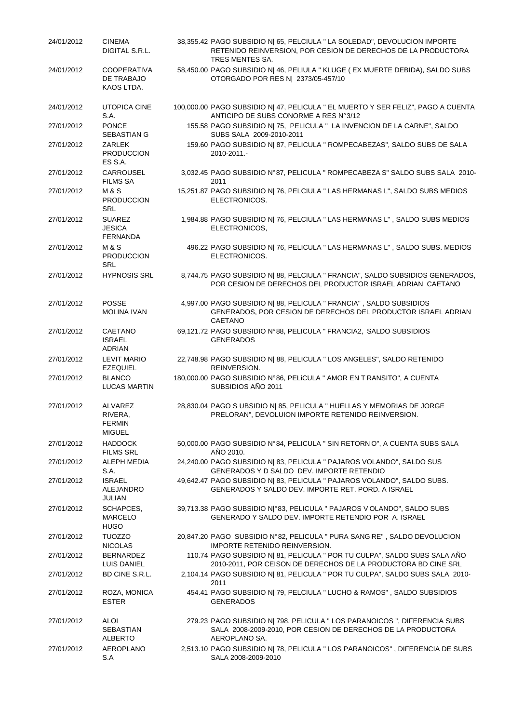| 24/01/2012 | <b>CINEMA</b><br>DIGITAL S.R.L.                      | 38,355.42 PAGO SUBSIDIO N  65, PELCIULA " LA SOLEDAD", DEVOLUCION IMPORTE<br>RETENIDO REINVERSION, POR CESION DE DERECHOS DE LA PRODUCTORA<br>TRES MENTES SA. |
|------------|------------------------------------------------------|---------------------------------------------------------------------------------------------------------------------------------------------------------------|
| 24/01/2012 | <b>COOPERATIVA</b><br>DE TRABAJO<br>KAOS LTDA.       | 58,450.00 PAGO SUBSIDIO N  46, PELIULA " KLUGE ( EX MUERTE DEBIDA), SALDO SUBS<br>OTORGADO POR RES N  2373/05-457/10                                          |
| 24/01/2012 | UTOPICA CINE<br>S.A.                                 | 100,000.00 PAGO SUBSIDIO N  47, PELICULA " EL MUERTO Y SER FELIZ", PAGO A CUENTA<br>ANTICIPO DE SUBS CONORME A RES N°3/12                                     |
| 27/01/2012 | <b>PONCE</b><br>SEBASTIAN G                          | 155.58 PAGO SUBSIDIO N  75, PELICULA " LA INVENCION DE LA CARNE", SALDO<br>SUBS SALA 2009-2010-2011                                                           |
| 27/01/2012 | <b>ZARLEK</b><br><b>PRODUCCION</b><br>ES S.A.        | 159.60 PAGO SUBSIDIO N  87, PELICULA " ROMPECABEZAS", SALDO SUBS DE SALA<br>2010-2011.-                                                                       |
| 27/01/2012 | CARROUSEL<br><b>FILMS SA</b>                         | 3,032.45 PAGO SUBSIDIO N°87, PELICULA " ROMPECABEZA S" SALDO SUBS SALA 2010-<br>2011                                                                          |
| 27/01/2012 | M & S<br><b>PRODUCCION</b><br>SRL                    | 15,251.87 PAGO SUBSIDIO N  76, PELCIULA " LAS HERMANAS L", SALDO SUBS MEDIOS<br>ELECTRONICOS.                                                                 |
| 27/01/2012 | <b>SUAREZ</b><br><b>JESICA</b><br><b>FERNANDA</b>    | 1,984.88 PAGO SUBSIDIO N  76, PELCIULA " LAS HERMANAS L", SALDO SUBS MEDIOS<br>ELECTRONICOS,                                                                  |
| 27/01/2012 | M & S<br><b>PRODUCCION</b><br>SRL                    | 496.22 PAGO SUBSIDIO N  76, PELICULA " LAS HERMANAS L", SALDO SUBS. MEDIOS<br>ELECTRONICOS.                                                                   |
| 27/01/2012 | <b>HYPNOSIS SRL</b>                                  | 8,744.75 PAGO SUBSIDIO N  88, PELCIULA " FRANCIA", SALDO SUBSIDIOS GENERADOS,<br>POR CESION DE DERECHOS DEL PRODUCTOR ISRAEL ADRIAN CAETANO                   |
| 27/01/2012 | <b>POSSE</b><br><b>MOLINA IVAN</b>                   | 4,997.00 PAGO SUBSIDIO N  88, PELICULA " FRANCIA", SALDO SUBSIDIOS<br>GENERADOS, POR CESION DE DERECHOS DEL PRODUCTOR ISRAEL ADRIAN<br>CAETANO                |
| 27/01/2012 | CAETANO<br><b>ISRAEL</b><br><b>ADRIAN</b>            | 69,121.72 PAGO SUBSIDIO N°88, PELICULA " FRANCIA2, SALDO SUBSIDIOS<br><b>GENERADOS</b>                                                                        |
| 27/01/2012 | <b>LEVIT MARIO</b><br><b>EZEQUIEL</b>                | 22,748.98 PAGO SUBSIDIO N  88, PELICULA " LOS ANGELES", SALDO RETENIDO<br>REINVERSION.                                                                        |
| 27/01/2012 | <b>BLANCO</b><br><b>LUCAS MARTIN</b>                 | 180,000.00 PAGO SUBSIDIO N°86, PELICULA " AMOR EN T RANSITO", A CUENTA<br>SUBSIDIOS AÑO 2011                                                                  |
| 27/01/2012 | ALVAREZ<br>RIVERA,<br><b>FERMIN</b><br><b>MIGUEL</b> | 28,830.04 PAGO S UBSIDIO N  85, PELICULA " HUELLAS Y MEMORIAS DE JORGE<br>PRELORAN", DEVOLUION IMPORTE RETENIDO REINVERSION.                                  |
| 27/01/2012 | <b>HADDOCK</b><br><b>FILMS SRL</b>                   | 50,000.00 PAGO SUBSIDIO N°84, PELICULA " SIN RETORN O", A CUENTA SUBS SALA<br>AÑO 2010.                                                                       |
| 27/01/2012 | <b>ALEPH MEDIA</b><br>S.A.                           | 24,240.00 PAGO SUBSIDIO N  83, PELICULA " PAJAROS VOLANDO", SALDO SUS<br>GENERADOS Y D SALDO DEV. IMPORTE RETENDIO                                            |
| 27/01/2012 | <b>ISRAEL</b><br>ALEJANDRO<br><b>JULIAN</b>          | 49,642.47 PAGO SUBSIDIO N  83, PELICULA " PAJAROS VOLANDO", SALDO SUBS.<br>GENERADOS Y SALDO DEV. IMPORTE RET. PORD. A ISRAEL                                 |
| 27/01/2012 | SCHAPCES,<br><b>MARCELO</b><br><b>HUGO</b>           | 39,713.38 PAGO SUBSIDIO N °83, PELICULA " PAJAROS V OLANDO", SALDO SUBS<br>GENERADO Y SALDO DEV. IMPORTE RETENDIO POR A. ISRAEL                               |
| 27/01/2012 | <b>TUOZZO</b><br><b>NICOLAS</b>                      | 20,847.20 PAGO SUBSIDIO N°82, PELICULA " PURA SANG RE", SALDO DEVOLUCION<br><b>IMPORTE RETENIDO REINVERSION.</b>                                              |
| 27/01/2012 | <b>BERNARDEZ</b><br>LUIS DANIEL                      | 110.74 PAGO SUBSIDIO N  81, PELICULA " POR TU CULPA", SALDO SUBS SALA AÑO<br>2010-2011, POR CEISON DE DERECHOS DE LA PRODUCTORA BD CINE SRL                   |
| 27/01/2012 | BD CINE S.R.L.                                       | 2,104.14 PAGO SUBSIDIO N  81, PELICULA " POR TU CULPA", SALDO SUBS SALA 2010-<br>2011                                                                         |
| 27/01/2012 | ROZA, MONICA<br><b>ESTER</b>                         | 454.41 PAGO SUBSIDIO N  79, PELCIULA " LUCHO & RAMOS", SALDO SUBSIDIOS<br><b>GENERADOS</b>                                                                    |
| 27/01/2012 | ALOI<br>SEBASTIAN<br><b>ALBERTO</b>                  | 279.23 PAGO SUBSIDIO N  798, PELICULA " LOS PARANOICOS ", DIFERENCIA SUBS<br>SALA 2008-2009-2010, POR CESION DE DERECHOS DE LA PRODUCTORA<br>AEROPLANO SA.    |
| 27/01/2012 | AEROPLANO<br>S.A                                     | 2,513.10 PAGO SUBSIDIO N  78, PELICULA " LOS PARANOICOS", DIFERENCIA DE SUBS<br>SALA 2008-2009-2010                                                           |
|            |                                                      |                                                                                                                                                               |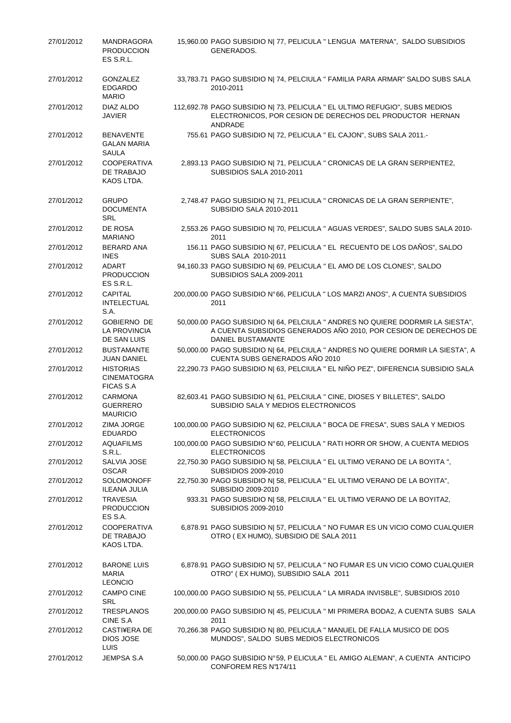| 27/01/2012 | <b>MANDRAGORA</b><br><b>PRODUCCION</b><br>ES S.R.L.        | 15,960.00 PAGO SUBSIDIO N  77, PELICULA " LENGUA MATERNA", SALDO SUBSIDIOS<br>GENERADOS.                                                                                       |
|------------|------------------------------------------------------------|--------------------------------------------------------------------------------------------------------------------------------------------------------------------------------|
| 27/01/2012 | GONZALEZ<br><b>EDGARDO</b><br><b>MARIO</b>                 | 33,783.71 PAGO SUBSIDIO N  74, PELCIULA " FAMILIA PARA ARMAR" SALDO SUBS SALA<br>2010-2011                                                                                     |
| 27/01/2012 | DIAZ ALDO<br><b>JAVIER</b>                                 | 112,692.78 PAGO SUBSIDIO N  73, PELICULA " EL ULTIMO REFUGIO", SUBS MEDIOS<br>ELECTRONICOS, POR CESION DE DERECHOS DEL PRODUCTOR HERNAN<br>ANDRADE                             |
| 27/01/2012 | <b>BENAVENTE</b><br><b>GALAN MARIA</b><br><b>SAULA</b>     | 755.61 PAGO SUBSIDIO N  72, PELICULA " EL CAJON", SUBS SALA 2011.-                                                                                                             |
| 27/01/2012 | COOPERATIVA<br>DE TRABAJO<br>KAOS LTDA.                    | 2,893.13 PAGO SUBSIDIO N  71, PELICULA " CRONICAS DE LA GRAN SERPIENTE2,<br>SUBSIDIOS SALA 2010-2011                                                                           |
| 27/01/2012 | <b>GRUPO</b><br><b>DOCUMENTA</b><br><b>SRL</b>             | 2,748.47 PAGO SUBSIDIO N  71, PELICULA " CRONICAS DE LA GRAN SERPIENTE",<br>SUBSIDIO SALA 2010-2011                                                                            |
| 27/01/2012 | DE ROSA<br><b>MARIANO</b>                                  | 2,553.26 PAGO SUBSIDIO N  70, PELICULA " AGUAS VERDES", SALDO SUBS SALA 2010-<br>2011                                                                                          |
| 27/01/2012 | <b>BERARD ANA</b><br><b>INES</b>                           | 156.11 PAGO SUBSIDIO N  67, PELICULA " EL RECUENTO DE LOS DAÑOS", SALDO<br>SUBS SALA 2010-2011                                                                                 |
| 27/01/2012 | <b>ADART</b><br><b>PRODUCCION</b><br>ES S.R.L.             | 94,160.33 PAGO SUBSIDIO N  69, PELICULA " EL AMO DE LOS CLONES", SALDO<br>SUBSIDIOS SALA 2009-2011                                                                             |
| 27/01/2012 | <b>CAPITAL</b><br><b>INTELECTUAL</b><br>S.A.               | 200,000.00 PAGO SUBSIDIO N°66, PELICULA " LOS MARZI ANOS", A CUENTA SUBSIDIOS<br>2011                                                                                          |
| 27/01/2012 | <b>GOBIERNO DE</b><br>LA PROVINCIA<br>DE SAN LUIS          | 50,000.00 PAGO SUBSIDIO N  64, PELCIULA " ANDRES NO QUIERE DODRMIR LA SIESTA",<br>A CUENTA SUBSIDIOS GENERADOS AÑO 2010, POR CESION DE DERECHOS DE<br><b>DANIEL BUSTAMANTE</b> |
| 27/01/2012 | <b>BUSTAMANTE</b><br><b>JUAN DANIEL</b>                    | 50,000.00 PAGO SUBSIDIO N  64, PELCIULA " ANDRES NO QUIERE DORMIR LA SIESTA", A<br>CUENTA SUBS GENERADOS AÑO 2010                                                              |
| 27/01/2012 | <b>HISTORIAS</b><br><b>CINEMATOGRA</b><br><b>FICAS S.A</b> | 22,290.73 PAGO SUBSIDIO N  63, PELCIULA " EL NIÑO PEZ", DIFERENCIA SUBSIDIO SALA                                                                                               |
| 27/01/2012 | <b>CARMONA</b><br><b>GUERRERO</b><br><b>MAURICIO</b>       | 82,603.41 PAGO SUBSIDIO N  61, PELCIULA " CINE, DIOSES Y BILLETES", SALDO<br>SUBSIDIO SALA Y MEDIOS ELECTRONICOS                                                               |
| 27/01/2012 | ZIMA JORGE<br><b>EDUARDO</b>                               | 100,000.00 PAGO SUBSIDIO N  62, PELCIULA " BOCA DE FRESA", SUBS SALA Y MEDIOS<br><b>ELECTRONICOS</b>                                                                           |
| 27/01/2012 | <b>AQUAFILMS</b><br>S.R.L.                                 | 100,000.00 PAGO SUBSIDIO N°60, PELICULA " RATI HORR OR SHOW, A CUENTA MEDIOS<br><b>ELECTRONICOS</b>                                                                            |
| 27/01/2012 | SALVIA JOSE<br><b>OSCAR</b>                                | 22,750.30 PAGO SUBSIDIO N  58, PELCIULA " EL ULTIMO VERANO DE LA BOYITA ",<br>SUBSIDIOS 2009-2010                                                                              |
| 27/01/2012 | <b>SOLOMONOFF</b><br><b>ILEANA JULIA</b>                   | 22,750.30 PAGO SUBSIDIO N  58, PELICULA " EL ULTIMO VERANO DE LA BOYITA",<br>SUBSIDIO 2009-2010                                                                                |
| 27/01/2012 | <b>TRAVESIA</b><br><b>PRODUCCION</b><br>ES S.A.            | 933.31 PAGO SUBSIDIO N  58, PELCIULA " EL ULTIMO VERANO DE LA BOYITA2,<br>SUBSIDIOS 2009-2010                                                                                  |
| 27/01/2012 | <b>COOPERATIVA</b><br>DE TRABAJO<br>KAOS LTDA.             | 6,878.91 PAGO SUBSIDIO N  57, PELICULA " NO FUMAR ES UN VICIO COMO CUALQUIER<br>OTRO (EX HUMO), SUBSIDIO DE SALA 2011                                                          |
| 27/01/2012 | <b>BARONE LUIS</b><br><b>MARIA</b><br><b>LEONCIO</b>       | 6,878.91 PAGO SUBSIDIO N  57, PELICULA " NO FUMAR ES UN VICIO COMO CUALQUIER<br>OTRO" (EX HUMO), SUBSIDIO SALA 2011                                                            |
| 27/01/2012 | <b>CAMPO CINE</b><br>SRL                                   | 100,000.00 PAGO SUBSIDIO N  55, PELICULA " LA MIRADA INVISBLE", SUBSIDIOS 2010                                                                                                 |
| 27/01/2012 | <b>TRESPLANOS</b><br>CINE S.A                              | 200,000.00 PAGO SUBSIDIO N  45, PELICULA " MI PRIMERA BODA2, A CUENTA SUBS SALA<br>2011                                                                                        |
| 27/01/2012 | CASTI¥ERA DE<br>DIOS JOSE<br><b>LUIS</b>                   | 70,266.38 PAGO SUBSIDIO N  80, PELICULA " MANUEL DE FALLA MUSICO DE DOS<br>MUNDOS", SALDO SUBS MEDIOS ELECTRONICOS                                                             |
| 27/01/2012 | JEMPSA S.A                                                 | 50,000.00 PAGO SUBSIDIO N°59, P ELICULA " EL AMIGO ALEMAN", A CUENTA ANTICIPO<br>CONFOREM RES Nº174/11                                                                         |